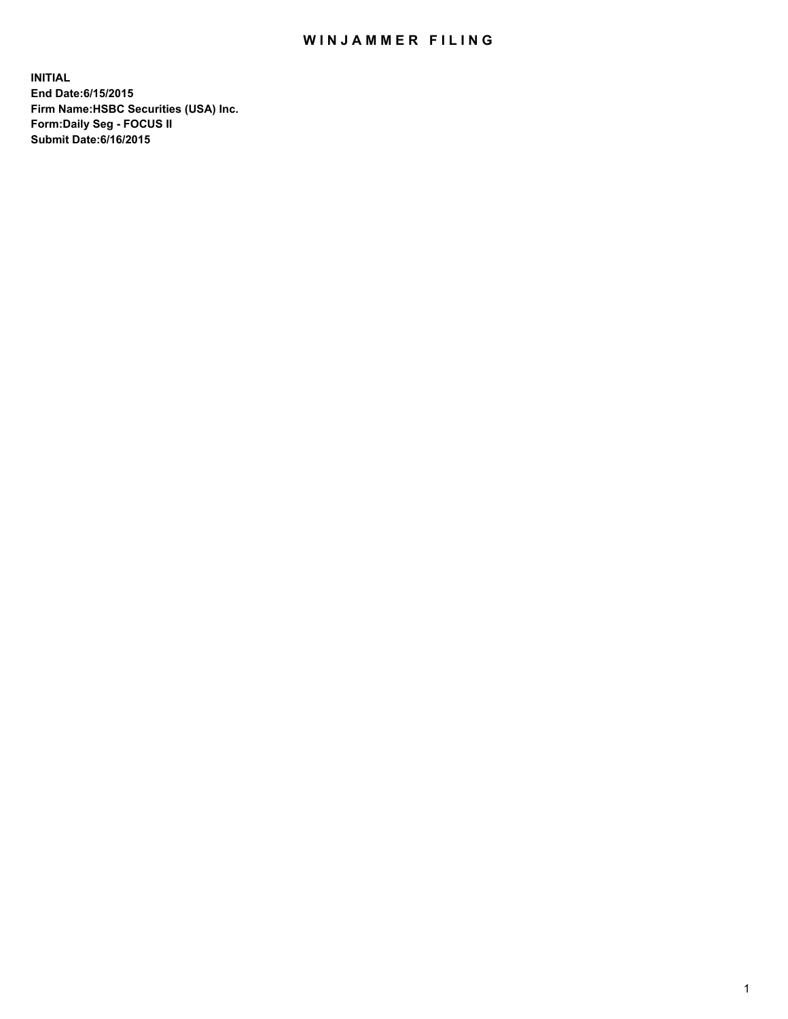## WIN JAMMER FILING

**INITIAL End Date:6/15/2015 Firm Name:HSBC Securities (USA) Inc. Form:Daily Seg - FOCUS II Submit Date:6/16/2015**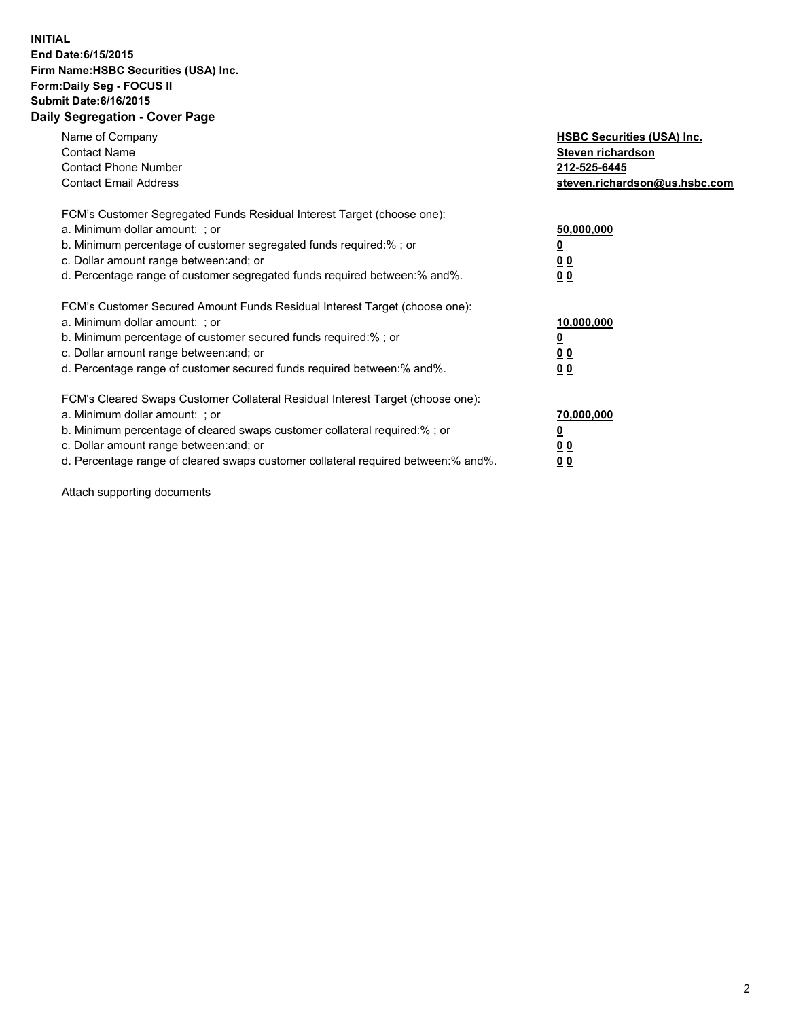## **INITIAL End Date:6/15/2015 Firm Name:HSBC Securities (USA) Inc. Form:Daily Seg - FOCUS II Submit Date:6/16/2015 Daily Segregation - Cover Page**

| Name of Company<br><b>Contact Name</b><br><b>Contact Phone Number</b><br><b>Contact Email Address</b>                                                                                                                                                                                                                          | <b>HSBC Securities (USA) Inc.</b><br>Steven richardson<br>212-525-6445<br>steven.richardson@us.hsbc.com |
|--------------------------------------------------------------------------------------------------------------------------------------------------------------------------------------------------------------------------------------------------------------------------------------------------------------------------------|---------------------------------------------------------------------------------------------------------|
| FCM's Customer Segregated Funds Residual Interest Target (choose one):<br>a. Minimum dollar amount: ; or<br>b. Minimum percentage of customer segregated funds required:%; or<br>c. Dollar amount range between: and; or<br>d. Percentage range of customer segregated funds required between: % and %.                        | 50,000,000<br>0 <sub>0</sub><br>0 <sub>0</sub>                                                          |
| FCM's Customer Secured Amount Funds Residual Interest Target (choose one):<br>a. Minimum dollar amount: ; or<br>b. Minimum percentage of customer secured funds required:%; or<br>c. Dollar amount range between: and; or<br>d. Percentage range of customer secured funds required between:% and%.                            | 10,000,000<br><u>0</u><br>0 <sub>0</sub><br>0 <sub>0</sub>                                              |
| FCM's Cleared Swaps Customer Collateral Residual Interest Target (choose one):<br>a. Minimum dollar amount: ; or<br>b. Minimum percentage of cleared swaps customer collateral required:% ; or<br>c. Dollar amount range between: and; or<br>d. Percentage range of cleared swaps customer collateral required between:% and%. | 70,000,000<br>00<br><u>00</u>                                                                           |

Attach supporting documents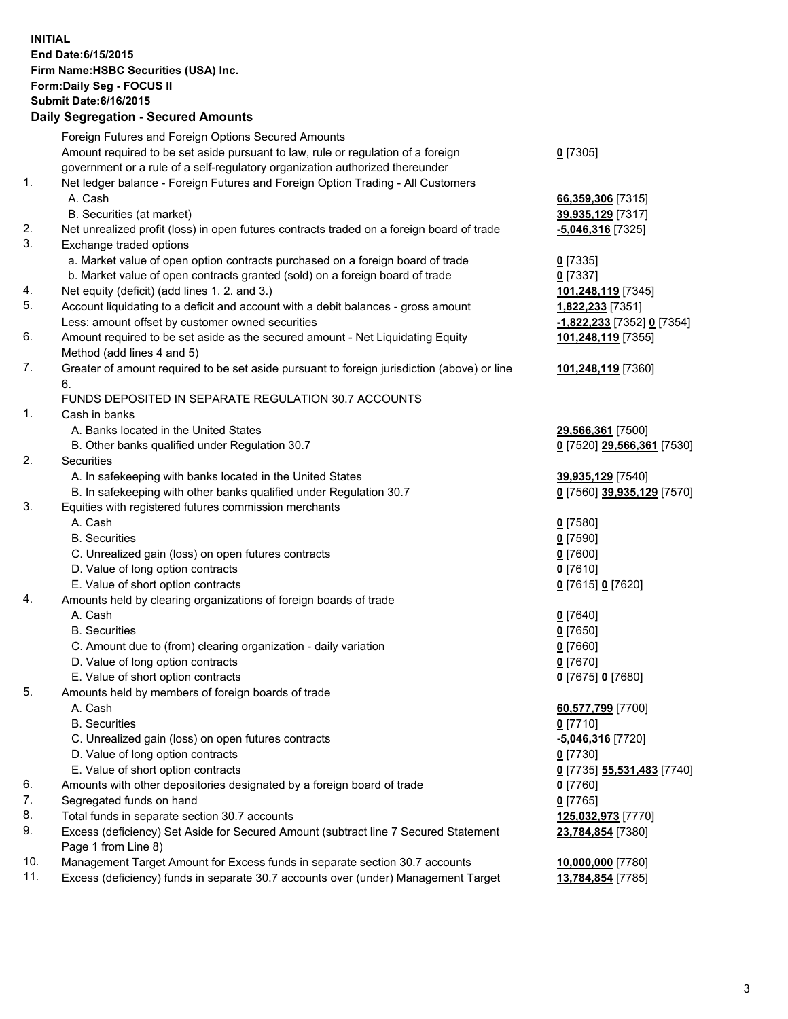**INITIAL End Date:6/15/2015 Firm Name:HSBC Securities (USA) Inc. Form:Daily Seg - FOCUS II Submit Date:6/16/2015 Daily Segregation - Secured Amounts**

|          | Foreign Futures and Foreign Options Secured Amounts                                                                                  |                            |
|----------|--------------------------------------------------------------------------------------------------------------------------------------|----------------------------|
|          | Amount required to be set aside pursuant to law, rule or regulation of a foreign                                                     | $0$ [7305]                 |
|          | government or a rule of a self-regulatory organization authorized thereunder                                                         |                            |
| 1.       | Net ledger balance - Foreign Futures and Foreign Option Trading - All Customers                                                      |                            |
|          | A. Cash                                                                                                                              | 66,359,306 [7315]          |
|          | B. Securities (at market)                                                                                                            | 39,935,129 [7317]          |
| 2.       | Net unrealized profit (loss) in open futures contracts traded on a foreign board of trade                                            | $-5,046,316$ [7325]        |
| 3.       | Exchange traded options                                                                                                              |                            |
|          | a. Market value of open option contracts purchased on a foreign board of trade                                                       | $0$ [7335]                 |
|          | b. Market value of open contracts granted (sold) on a foreign board of trade                                                         | $0$ [7337]                 |
| 4.       | Net equity (deficit) (add lines 1.2. and 3.)                                                                                         | 101,248,119 [7345]         |
| 5.       | Account liquidating to a deficit and account with a debit balances - gross amount                                                    | 1,822,233 [7351]           |
|          | Less: amount offset by customer owned securities                                                                                     | -1,822,233 [7352] 0 [7354] |
| 6.       | Amount required to be set aside as the secured amount - Net Liquidating Equity                                                       | 101,248,119 [7355]         |
|          | Method (add lines 4 and 5)                                                                                                           |                            |
| 7.       | Greater of amount required to be set aside pursuant to foreign jurisdiction (above) or line                                          | 101,248,119 [7360]         |
|          | 6.                                                                                                                                   |                            |
|          | FUNDS DEPOSITED IN SEPARATE REGULATION 30.7 ACCOUNTS                                                                                 |                            |
| 1.       | Cash in banks                                                                                                                        |                            |
|          | A. Banks located in the United States                                                                                                | 29,566,361 [7500]          |
|          | B. Other banks qualified under Regulation 30.7                                                                                       | 0 [7520] 29,566,361 [7530] |
| 2.       | Securities                                                                                                                           |                            |
|          | A. In safekeeping with banks located in the United States                                                                            | 39,935,129 [7540]          |
|          | B. In safekeeping with other banks qualified under Regulation 30.7                                                                   | 0 [7560] 39,935,129 [7570] |
| 3.       | Equities with registered futures commission merchants                                                                                |                            |
|          | A. Cash                                                                                                                              | $0$ [7580]                 |
|          | <b>B.</b> Securities                                                                                                                 | $0$ [7590]                 |
|          | C. Unrealized gain (loss) on open futures contracts                                                                                  | $0$ [7600]                 |
|          | D. Value of long option contracts                                                                                                    | $0$ [7610]                 |
|          | E. Value of short option contracts                                                                                                   | 0 [7615] 0 [7620]          |
| 4.       | Amounts held by clearing organizations of foreign boards of trade                                                                    |                            |
|          | A. Cash                                                                                                                              | $0$ [7640]                 |
|          | <b>B.</b> Securities                                                                                                                 | $0$ [7650]                 |
|          | C. Amount due to (from) clearing organization - daily variation                                                                      | $0$ [7660]                 |
|          | D. Value of long option contracts                                                                                                    | $0$ [7670]                 |
|          | E. Value of short option contracts                                                                                                   | 0 [7675] 0 [7680]          |
| 5.       | Amounts held by members of foreign boards of trade                                                                                   |                            |
|          | A. Cash                                                                                                                              | 60,577,799 [7700]          |
|          | <b>B.</b> Securities                                                                                                                 | $0$ [7710]                 |
|          | C. Unrealized gain (loss) on open futures contracts                                                                                  | -5,046,316 [7720]          |
|          | D. Value of long option contracts                                                                                                    | $0$ [7730]                 |
|          | E. Value of short option contracts                                                                                                   | 0 [7735] 55,531,483 [7740] |
| 6.<br>7. | Amounts with other depositories designated by a foreign board of trade                                                               | 0 [7760]                   |
| 8.       | Segregated funds on hand                                                                                                             | $0$ [7765]                 |
| 9.       | Total funds in separate section 30.7 accounts<br>Excess (deficiency) Set Aside for Secured Amount (subtract line 7 Secured Statement | 125,032,973 [7770]         |
|          | Page 1 from Line 8)                                                                                                                  | 23,784,854 [7380]          |
| 10.      | Management Target Amount for Excess funds in separate section 30.7 accounts                                                          | 10,000,000 [7780]          |
| 11.      | Excess (deficiency) funds in separate 30.7 accounts over (under) Management Target                                                   | 13,784,854 [7785]          |
|          |                                                                                                                                      |                            |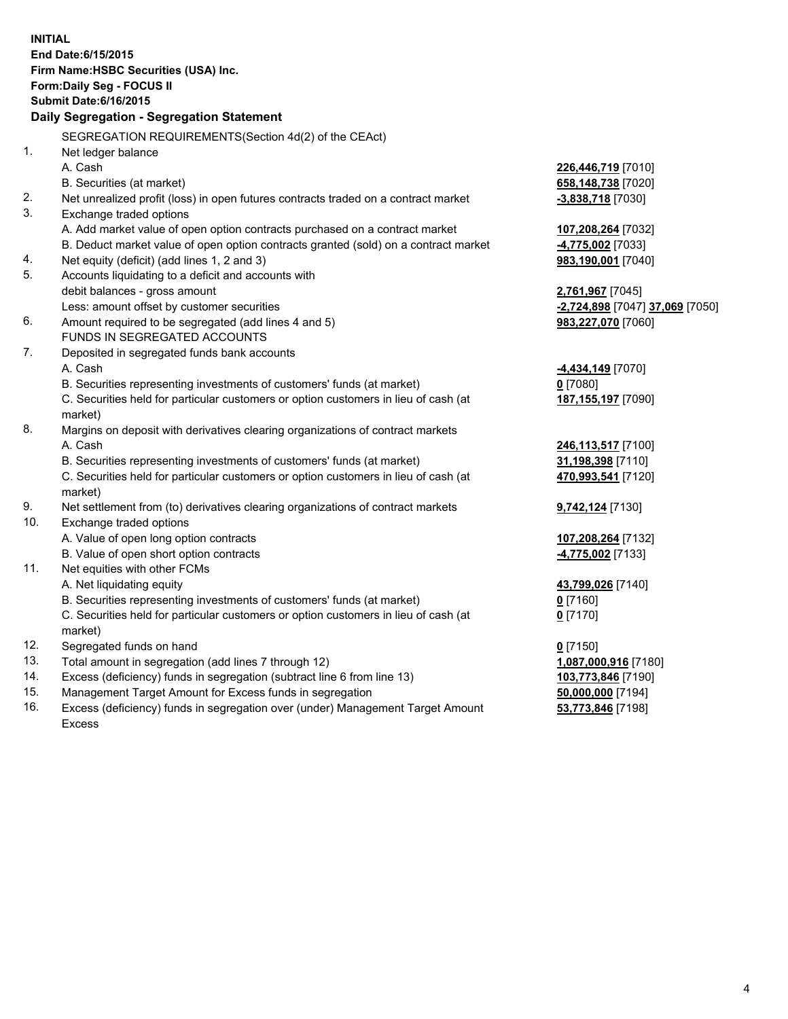| <b>INITIAL</b>             |                                                                                     |                                 |  |  |  |  |  |
|----------------------------|-------------------------------------------------------------------------------------|---------------------------------|--|--|--|--|--|
| End Date: 6/15/2015        |                                                                                     |                                 |  |  |  |  |  |
|                            | Firm Name: HSBC Securities (USA) Inc.                                               |                                 |  |  |  |  |  |
| Form: Daily Seg - FOCUS II |                                                                                     |                                 |  |  |  |  |  |
|                            | <b>Submit Date:6/16/2015</b>                                                        |                                 |  |  |  |  |  |
|                            | Daily Segregation - Segregation Statement                                           |                                 |  |  |  |  |  |
|                            | SEGREGATION REQUIREMENTS(Section 4d(2) of the CEAct)                                |                                 |  |  |  |  |  |
| 1.                         | Net ledger balance                                                                  |                                 |  |  |  |  |  |
|                            | A. Cash                                                                             | 226,446,719 [7010]              |  |  |  |  |  |
|                            | B. Securities (at market)                                                           | 658,148,738 [7020]              |  |  |  |  |  |
| 2.                         | Net unrealized profit (loss) in open futures contracts traded on a contract market  | $-3,838,718$ [7030]             |  |  |  |  |  |
| 3.                         | Exchange traded options                                                             |                                 |  |  |  |  |  |
|                            | A. Add market value of open option contracts purchased on a contract market         | 107,208,264 [7032]              |  |  |  |  |  |
|                            | B. Deduct market value of open option contracts granted (sold) on a contract market | -4,775,002 [7033]               |  |  |  |  |  |
| 4.                         | Net equity (deficit) (add lines 1, 2 and 3)                                         | 983,190,001 [7040]              |  |  |  |  |  |
| 5.                         | Accounts liquidating to a deficit and accounts with                                 |                                 |  |  |  |  |  |
|                            | debit balances - gross amount                                                       | 2,761,967 [7045]                |  |  |  |  |  |
|                            | Less: amount offset by customer securities                                          | -2,724,898 [7047] 37,069 [7050] |  |  |  |  |  |
| 6.                         | Amount required to be segregated (add lines 4 and 5)                                | 983,227,070 [7060]              |  |  |  |  |  |
|                            | FUNDS IN SEGREGATED ACCOUNTS                                                        |                                 |  |  |  |  |  |
| 7.                         | Deposited in segregated funds bank accounts                                         |                                 |  |  |  |  |  |
|                            | A. Cash                                                                             | <b>4,434,149</b> [7070]         |  |  |  |  |  |
|                            | B. Securities representing investments of customers' funds (at market)              | $0$ [7080]                      |  |  |  |  |  |
|                            | C. Securities held for particular customers or option customers in lieu of cash (at | 187, 155, 197 [7090]            |  |  |  |  |  |
|                            | market)                                                                             |                                 |  |  |  |  |  |
| 8.                         | Margins on deposit with derivatives clearing organizations of contract markets      |                                 |  |  |  |  |  |
|                            | A. Cash                                                                             | 246,113,517 [7100]              |  |  |  |  |  |
|                            | B. Securities representing investments of customers' funds (at market)              | 31,198,398 [7110]               |  |  |  |  |  |
|                            | C. Securities held for particular customers or option customers in lieu of cash (at | 470,993,541 [7120]              |  |  |  |  |  |
|                            | market)                                                                             |                                 |  |  |  |  |  |
| 9.                         | Net settlement from (to) derivatives clearing organizations of contract markets     | 9,742,124 [7130]                |  |  |  |  |  |
| 10.                        | Exchange traded options                                                             |                                 |  |  |  |  |  |
|                            | A. Value of open long option contracts<br>B. Value of open short option contracts   | 107,208,264 [7132]              |  |  |  |  |  |
| 11.                        | Net equities with other FCMs                                                        | 4,775,002 [7133]                |  |  |  |  |  |
|                            | A. Net liquidating equity                                                           | 43,799,026 [7140]               |  |  |  |  |  |
|                            | B. Securities representing investments of customers' funds (at market)              | $0$ [7160]                      |  |  |  |  |  |
|                            | C. Securities held for particular customers or option customers in lieu of cash (at | $0$ [7170]                      |  |  |  |  |  |
|                            | market)                                                                             |                                 |  |  |  |  |  |
| 12.                        | Segregated funds on hand                                                            | $0$ [7150]                      |  |  |  |  |  |
| 13.                        | Total amount in segregation (add lines 7 through 12)                                | 1,087,000,916 [7180]            |  |  |  |  |  |
| 14.                        | Excess (deficiency) funds in segregation (subtract line 6 from line 13)             | 103,773,846 [7190]              |  |  |  |  |  |
| 15.                        | Management Target Amount for Excess funds in segregation                            | 50,000,000 [7194]               |  |  |  |  |  |
| 16.                        | Excess (deficiency) funds in segregation over (under) Management Target Amount      | 53,773,846 [7198]               |  |  |  |  |  |

16. Excess (deficiency) funds in segregation over (under) Management Target Amount Excess